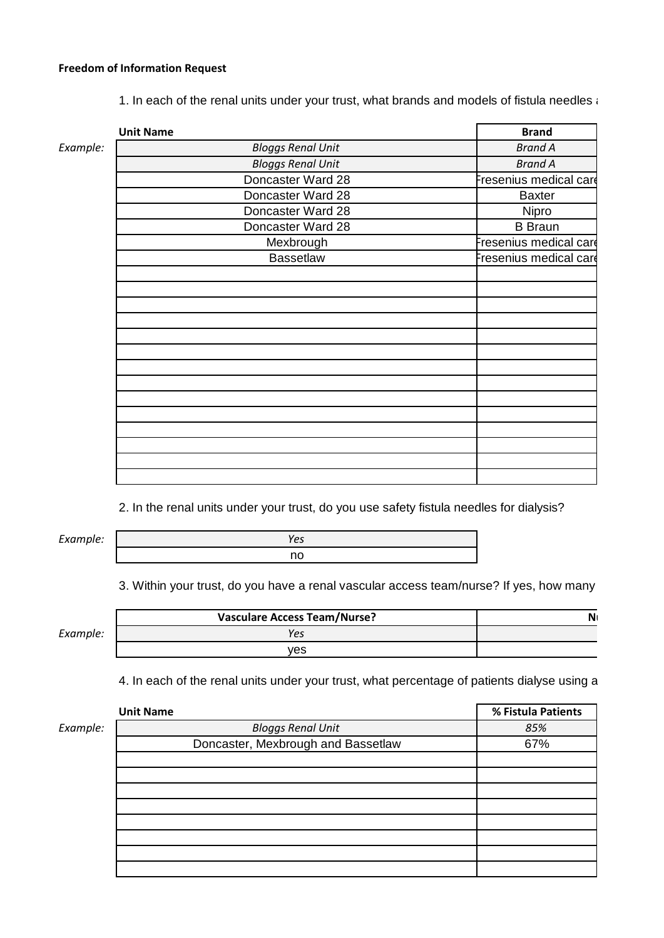## **Freedom of Information Request**

1. In each of the renal units under your trust, what brands and models of fistula needles are currently used?

|          | <b>Unit Name</b>         | <b>Brand</b>           |
|----------|--------------------------|------------------------|
| Example: | <b>Bloggs Renal Unit</b> | <b>Brand A</b>         |
|          | <b>Bloggs Renal Unit</b> | <b>Brand A</b>         |
|          | Doncaster Ward 28        | Fresenius medical care |
|          | Doncaster Ward 28        | <b>Baxter</b>          |
|          | Doncaster Ward 28        | Nipro                  |
|          | Doncaster Ward 28        | <b>B</b> Braun         |
|          | Mexbrough                | Fresenius medical care |
|          | <b>Bassetlaw</b>         | Fresenius medical care |
|          |                          |                        |
|          |                          |                        |
|          |                          |                        |
|          |                          |                        |
|          |                          |                        |
|          |                          |                        |
|          |                          |                        |
|          |                          |                        |
|          |                          |                        |
|          |                          |                        |
|          |                          |                        |
|          |                          |                        |
|          |                          |                        |
|          |                          |                        |

2. In the renal units under your trust, do you use safety fistula needles for dialysis?

*Example:*

*Yes* no

3. Within your trust, do you have a renal vascular access team/nurse? If yes, how many

*Example:*

| <b>Vasculare Access Team/Nurse?</b> | N |
|-------------------------------------|---|
|                                     |   |
| /es                                 |   |

4. In each of the renal units under your trust, what percentage of patients dialyse using a

|          | <b>Unit Name</b>                   | % Fistula Patients |
|----------|------------------------------------|--------------------|
| Example: | <b>Bloggs Renal Unit</b>           | 85%                |
|          | Doncaster, Mexbrough and Bassetlaw | 67%                |
|          |                                    |                    |
|          |                                    |                    |
|          |                                    |                    |
|          |                                    |                    |
|          |                                    |                    |
|          |                                    |                    |
|          |                                    |                    |
|          |                                    |                    |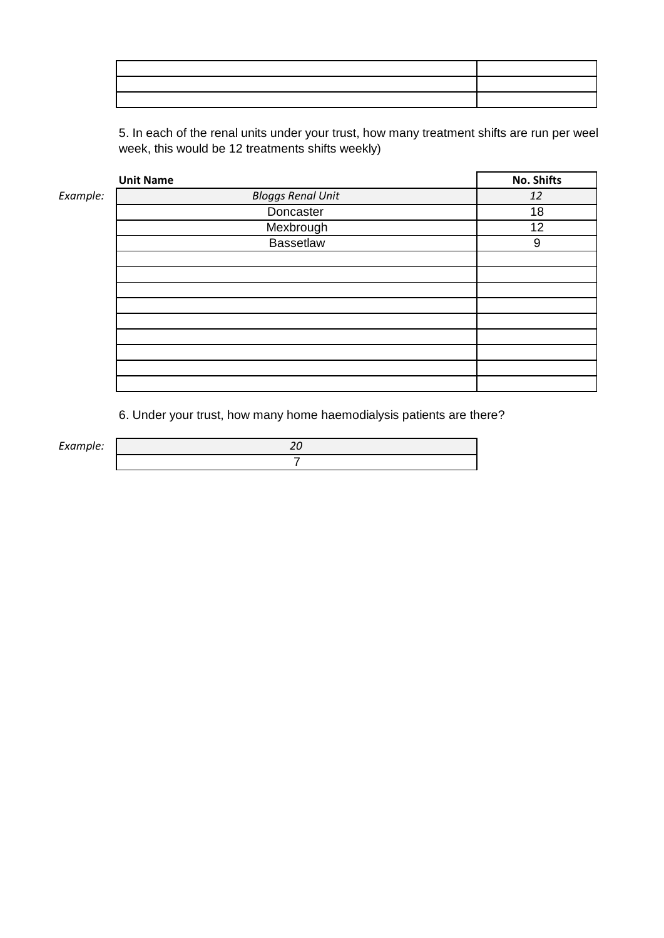5. In each of the renal units under your trust, how many treatment shifts are run per weel week, this would be 12 treatments shifts weekly)

|          | <b>Unit Name</b>         | <b>No. Shifts</b> |
|----------|--------------------------|-------------------|
| Example: | <b>Bloggs Renal Unit</b> | 12                |
|          | Doncaster                | 18                |
|          | Mexbrough                | 12                |
|          | <b>Bassetlaw</b>         | 9                 |
|          |                          |                   |
|          |                          |                   |
|          |                          |                   |
|          |                          |                   |
|          |                          |                   |
|          |                          |                   |
|          |                          |                   |
|          |                          |                   |
|          |                          |                   |

6. Under your trust, how many home haemodialysis patients are there?

 $Example:$ 

| л |  |
|---|--|
|   |  |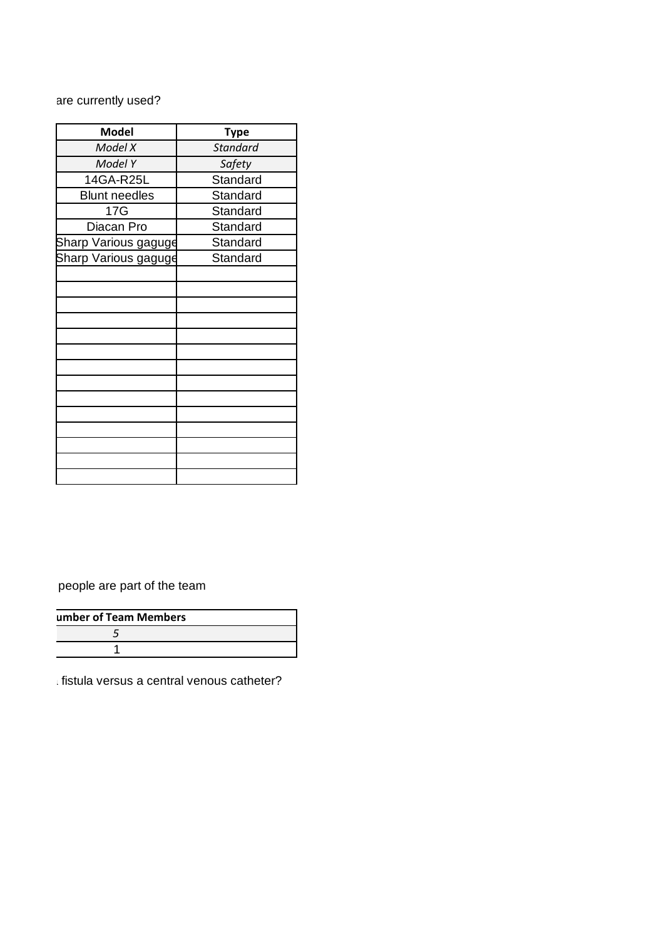## are currently used?

| <b>Model</b>         | <b>Type</b>     |
|----------------------|-----------------|
| Model X              | <b>Standard</b> |
| Model Y              | Safety          |
| 14GA-R25L            | Standard        |
| <b>Blunt needles</b> | Standard        |
| 17G                  | Standard        |
| Diacan Pro           | Standard        |
| Sharp Various gaguge | Standard        |
| Sharp Various gaguge | Standard        |
|                      |                 |
|                      |                 |
|                      |                 |
|                      |                 |
|                      |                 |
|                      |                 |
|                      |                 |
|                      |                 |
|                      |                 |
|                      |                 |
|                      |                 |
|                      |                 |
|                      |                 |
|                      |                 |

people are part of the team

| umber of Team Members |  |
|-----------------------|--|
|                       |  |
|                       |  |

 $\frac{1}{4}$  fistula versus a central venous catheter?